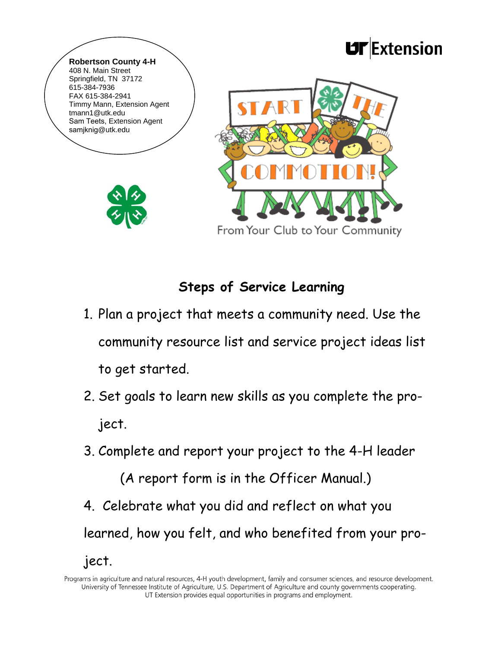

## **Steps of Service Learning**

- 1. Plan a project that meets a community need. Use the community resource list and service project ideas list to get started.
- 2. Set goals to learn new skills as you complete the project.
- 3. Complete and report your project to the 4-H leader

(A report form is in the Officer Manual.)

4. Celebrate what you did and reflect on what you learned, how you felt, and who benefited from your pro-

ject.

Programs in agriculture and natural resources, 4-H youth development, family and consumer sciences, and resource development. University of Tennessee Institute of Agriculture, U.S. Department of Agriculture and county governments cooperating. UT Extension provides equal opportunities in programs and employment.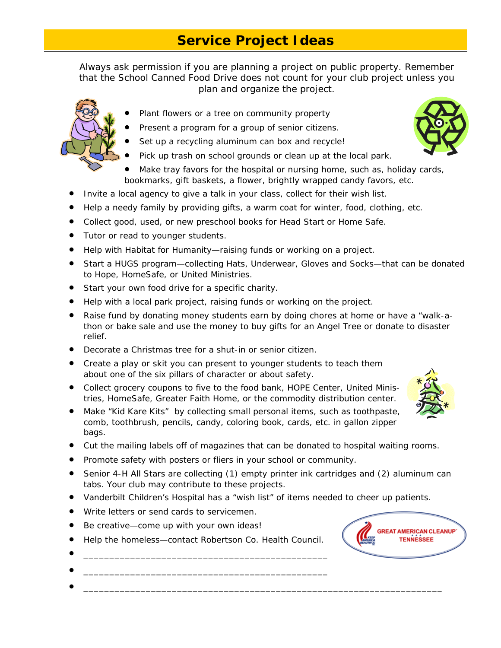## **Service Project Ideas**

*Always ask permission if you are planning a project on public property. Remember that the School Canned Food Drive does not count for your club project unless you plan and organize the project.* 

- Plant flowers or a tree on community property
- Present a program for a group of senior citizens.
- Set up a recycling aluminum can box and recycle!
- Pick up trash on school grounds or clean up at the local park.
- Make tray favors for the hospital or nursing home, such as, holiday cards, bookmarks, gift baskets, a flower, brightly wrapped candy favors, etc.
- Invite a local agency to give a talk in your class, collect for their wish list.
- Help a needy family by providing gifts, a warm coat for winter, food, clothing, etc.
- Collect good, used, or new preschool books for Head Start or Home Safe.
- Tutor or read to younger students.
- Help with Habitat for Humanity—raising funds or working on a project.
- Start a HUGS program—collecting Hats, Underwear, Gloves and Socks—that can be donated to Hope, HomeSafe, or United Ministries.
- **Start your own food drive for a specific charity.**
- Help with a local park project, raising funds or working on the project.
- Raise fund by donating money students earn by doing chores at home or have a "walk-athon or bake sale and use the money to buy gifts for an Angel Tree or donate to disaster relief.
- Decorate a Christmas tree for a shut-in or senior citizen.
- Create a play or skit you can present to younger students to teach them about one of the six pillars of character or about safety.
- Collect grocery coupons to five to the food bank, HOPE Center, United Ministries, HomeSafe, Greater Faith Home, or the commodity distribution center.
- Make "Kid Kare Kits" by collecting small personal items, such as toothpaste, comb, toothbrush, pencils, candy, coloring book, cards, etc. in gallon zipper bags.
- Cut the mailing labels off of magazines that can be donated to hospital waiting rooms.
- Promote safety with posters or fliers in your school or community.
- Senior 4-H All Stars are collecting (1) empty printer ink cartridges and (2) aluminum can tabs. Your club may contribute to these projects.
- Vanderbilt Children's Hospital has a "wish list" of items needed to cheer up patients.

 $\bullet$   $\_$ 

- Write letters or send cards to servicemen.
- Be creative—come up with your own ideas!
- Help the homeless—contact Robertson Co. Health Council.

 $\bullet$   $\_$ 

 $\bullet$   $\_$